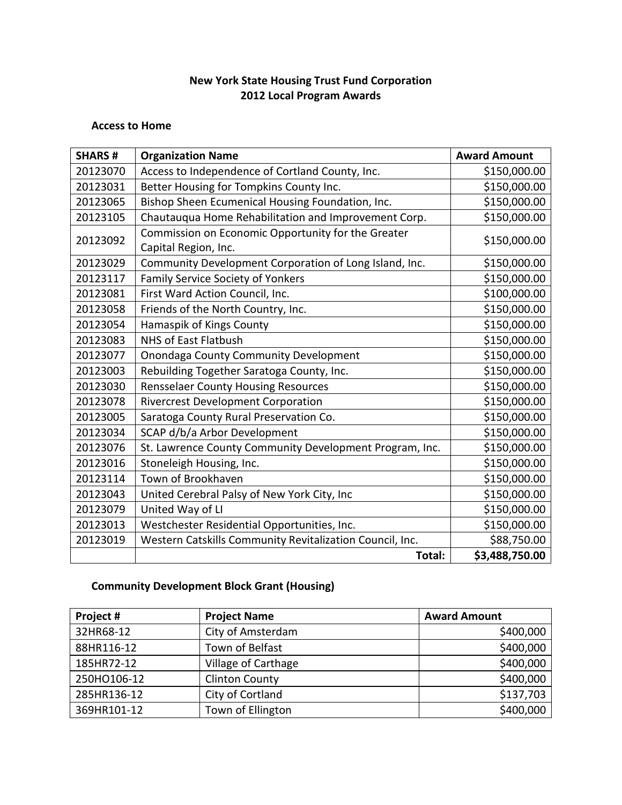### **New York State Housing Trust Fund Corporation 2012 Local Program Awards**

#### **Access to Home**

| <b>SHARS#</b> | <b>Organization Name</b>                                                   | <b>Award Amount</b> |
|---------------|----------------------------------------------------------------------------|---------------------|
| 20123070      | Access to Independence of Cortland County, Inc.                            | \$150,000.00        |
| 20123031      | Better Housing for Tompkins County Inc.                                    | \$150,000.00        |
| 20123065      | Bishop Sheen Ecumenical Housing Foundation, Inc.                           | \$150,000.00        |
| 20123105      | Chautauqua Home Rehabilitation and Improvement Corp.                       | \$150,000.00        |
| 20123092      | Commission on Economic Opportunity for the Greater<br>Capital Region, Inc. | \$150,000.00        |
| 20123029      | Community Development Corporation of Long Island, Inc.                     | \$150,000.00        |
| 20123117      | Family Service Society of Yonkers                                          | \$150,000.00        |
| 20123081      | First Ward Action Council, Inc.                                            | \$100,000.00        |
| 20123058      | Friends of the North Country, Inc.                                         | \$150,000.00        |
| 20123054      | Hamaspik of Kings County                                                   | \$150,000.00        |
| 20123083      | <b>NHS of East Flatbush</b>                                                | \$150,000.00        |
| 20123077      | Onondaga County Community Development                                      | \$150,000.00        |
| 20123003      | Rebuilding Together Saratoga County, Inc.                                  | \$150,000.00        |
| 20123030      | <b>Rensselaer County Housing Resources</b>                                 | \$150,000.00        |
| 20123078      | <b>Rivercrest Development Corporation</b>                                  | \$150,000.00        |
| 20123005      | Saratoga County Rural Preservation Co.                                     | \$150,000.00        |
| 20123034      | SCAP d/b/a Arbor Development                                               | \$150,000.00        |
| 20123076      | St. Lawrence County Community Development Program, Inc.                    | \$150,000.00        |
| 20123016      | Stoneleigh Housing, Inc.                                                   | \$150,000.00        |
| 20123114      | Town of Brookhaven                                                         | \$150,000.00        |
| 20123043      | United Cerebral Palsy of New York City, Inc                                | \$150,000.00        |
| 20123079      | United Way of LI                                                           | \$150,000.00        |
| 20123013      | Westchester Residential Opportunities, Inc.                                | \$150,000.00        |
| 20123019      | Western Catskills Community Revitalization Council, Inc.                   | \$88,750.00         |
|               | Total:                                                                     | \$3,488,750.00      |

# **Community Development Block Grant (Housing)**

| Project #   | <b>Project Name</b>   | <b>Award Amount</b> |
|-------------|-----------------------|---------------------|
| 32HR68-12   | City of Amsterdam     | \$400,000           |
| 88HR116-12  | Town of Belfast       | \$400,000           |
| 185HR72-12  | Village of Carthage   | \$400,000           |
| 250HO106-12 | <b>Clinton County</b> | \$400,000           |
| 285HR136-12 | City of Cortland      | \$137,703           |
| 369HR101-12 | Town of Ellington     | \$400,000           |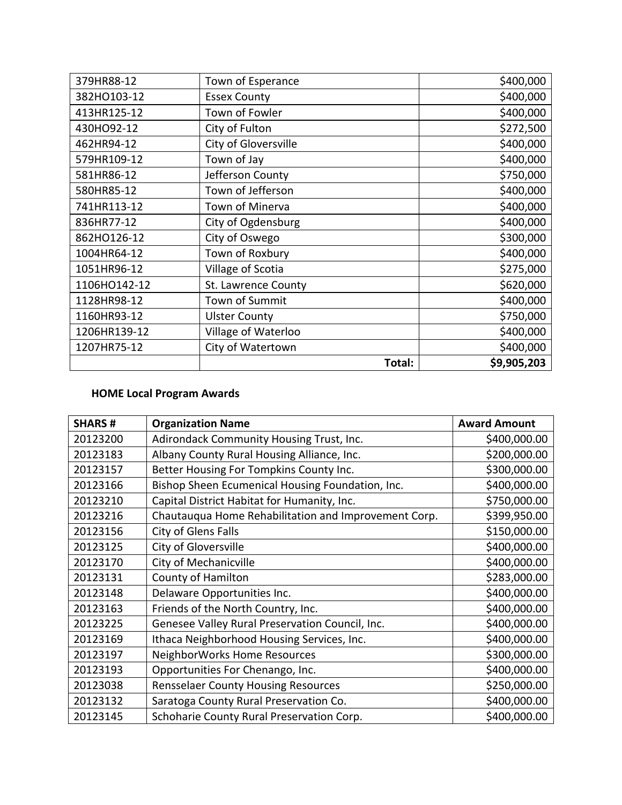| 379HR88-12   | Town of Esperance    | \$400,000   |
|--------------|----------------------|-------------|
| 382HO103-12  | <b>Essex County</b>  | \$400,000   |
| 413HR125-12  | Town of Fowler       | \$400,000   |
| 430HO92-12   | City of Fulton       | \$272,500   |
| 462HR94-12   | City of Gloversville | \$400,000   |
| 579HR109-12  | Town of Jay          | \$400,000   |
| 581HR86-12   | Jefferson County     | \$750,000   |
| 580HR85-12   | Town of Jefferson    | \$400,000   |
| 741HR113-12  | Town of Minerva      | \$400,000   |
| 836HR77-12   | City of Ogdensburg   | \$400,000   |
| 862HO126-12  | City of Oswego       | \$300,000   |
| 1004HR64-12  | Town of Roxbury      | \$400,000   |
| 1051HR96-12  | Village of Scotia    | \$275,000   |
| 1106HO142-12 | St. Lawrence County  | \$620,000   |
| 1128HR98-12  | Town of Summit       | \$400,000   |
| 1160HR93-12  | <b>Ulster County</b> | \$750,000   |
| 1206HR139-12 | Village of Waterloo  | \$400,000   |
| 1207HR75-12  | City of Watertown    | \$400,000   |
|              | Total:               | \$9,905,203 |

### **HOME Local Program Awards**

| <b>SHARS#</b> | <b>Organization Name</b>                             | <b>Award Amount</b> |
|---------------|------------------------------------------------------|---------------------|
| 20123200      | Adirondack Community Housing Trust, Inc.             | \$400,000.00        |
| 20123183      | Albany County Rural Housing Alliance, Inc.           | \$200,000.00        |
| 20123157      | Better Housing For Tompkins County Inc.              | \$300,000.00        |
| 20123166      | Bishop Sheen Ecumenical Housing Foundation, Inc.     | \$400,000.00        |
| 20123210      | Capital District Habitat for Humanity, Inc.          | \$750,000.00        |
| 20123216      | Chautauqua Home Rehabilitation and Improvement Corp. | \$399,950.00        |
| 20123156      | City of Glens Falls                                  | \$150,000.00        |
| 20123125      | City of Gloversville                                 | \$400,000.00        |
| 20123170      | City of Mechanicville                                | \$400,000.00        |
| 20123131      | County of Hamilton                                   | \$283,000.00        |
| 20123148      | Delaware Opportunities Inc.                          | \$400,000.00        |
| 20123163      | Friends of the North Country, Inc.                   | \$400,000.00        |
| 20123225      | Genesee Valley Rural Preservation Council, Inc.      | \$400,000.00        |
| 20123169      | Ithaca Neighborhood Housing Services, Inc.           | \$400,000.00        |
| 20123197      | NeighborWorks Home Resources                         | \$300,000.00        |
| 20123193      | Opportunities For Chenango, Inc.                     | \$400,000.00        |
| 20123038      | <b>Rensselaer County Housing Resources</b>           | \$250,000.00        |
| 20123132      | Saratoga County Rural Preservation Co.               | \$400,000.00        |
| 20123145      | Schoharie County Rural Preservation Corp.            | \$400,000.00        |